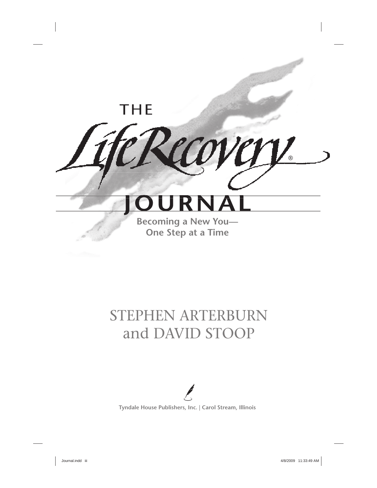## **THE**

# **JOURNAL**

COVI

®

**Becoming a New You— One Step at a Time**

## STEPHEN ARTERBURN and DAVID STOOP



**Tyndale House Publishers, Inc. | Carol Stream, Illinois**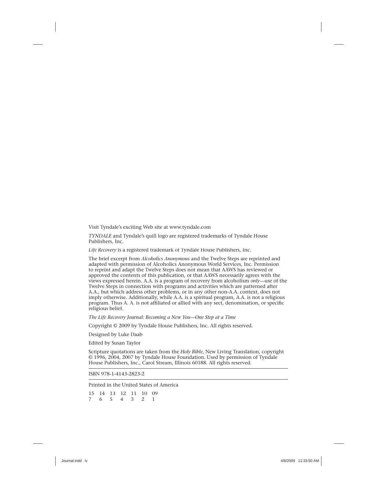Visit Tyndale's exciting Web site at www.tyndale.com

*TYNDALE* and Tyndale's quill logo are registered trademarks of Tyndale House Publishers, Inc.

*Life Recovery* is a registered trademark of Tyndale House Publishers, Inc.

The brief excerpt from *Alcoholics Anonymous* and the Twelve Steps are reprinted and adapted with permission of Alcoholics Anonymous World Services, Inc. Permission to reprint and adapt the Twelve Steps does not mean that AAWS has reviewed or approved the contents of this publication, or that AAWS necessarily agrees with the views expressed herein. A.A. is a program of recovery from alcoholism *only*—use of the Twelve Steps in connection with programs and activities which are patterned after A.A., but which address other problems, or in any other non-A.A. context, does not imply otherwise. Additionally, while A.A. is a spiritual program, A.A. is not a religious program. Thus A. A. is not affiliated or allied with any sect, denomination, or specific religious belief.

*The Life Recovery Journal: Becoming a New You—One Step at a Time*

Copyright © 2009 by Tyndale House Publishers, Inc. All rights reserved.

Designed by Luke Daab

Edited by Susan Taylor

Scripture quotations are taken from the *Holy Bible*, New Living Translation, copyright © 1996, 2004, 2007 by Tyndale House Foundation. Used by permission of Tyndale House Publishers, Inc., Carol Stream, Illinois 60188. All rights reserved.

ISBN 978-1-4143-2823-2

Printed in the United States of America

15 14 13 12 11 10 09 7 6 5 4 3 2 1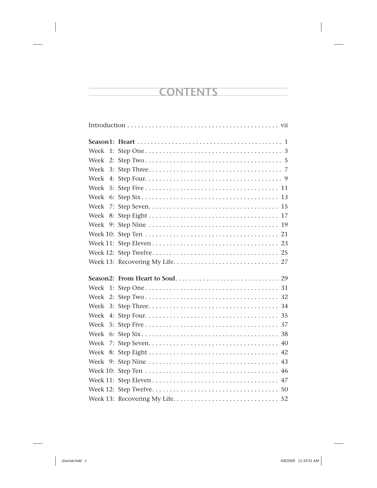## **CONTENTS**

| Week |    |  |
|------|----|--|
| Week |    |  |
| Week |    |  |
| Week | 4: |  |
| Week |    |  |
| Week |    |  |
| Week |    |  |
| Week |    |  |
| Week |    |  |
|      |    |  |
|      |    |  |
|      |    |  |
|      |    |  |
|      |    |  |
| Week |    |  |
| Week |    |  |
| Week |    |  |
| Week |    |  |
| Week |    |  |
| Week |    |  |
| Week | 7: |  |
| Week |    |  |
| Week |    |  |
|      |    |  |
|      |    |  |
|      |    |  |
|      |    |  |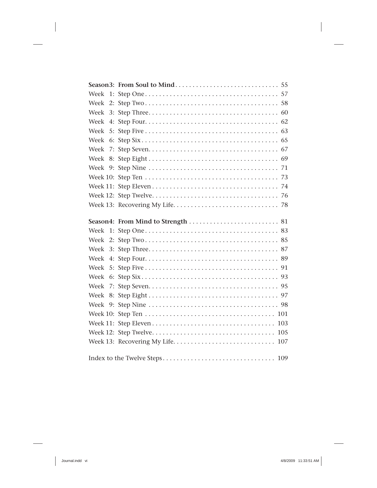| Week         |                                    |
|--------------|------------------------------------|
| Week         |                                    |
| Week         |                                    |
| Week         |                                    |
| Week<br>5: I |                                    |
| Week         |                                    |
| Week         |                                    |
| Week         |                                    |
| Week         |                                    |
|              |                                    |
|              |                                    |
|              |                                    |
|              |                                    |
|              |                                    |
| Week         |                                    |
| Week         |                                    |
| Week         |                                    |
| Week         |                                    |
| Week         |                                    |
| Week<br>6:   |                                    |
| Week         |                                    |
| Week         |                                    |
| Week         |                                    |
|              | 101                                |
|              | 103                                |
|              | 105                                |
|              | Week 13: Recovering My Life<br>107 |
|              |                                    |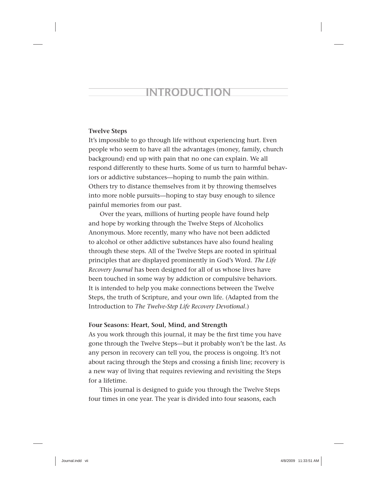## **INTRODUCTION**

#### **Twelve Steps**

It's impossible to go through life without experiencing hurt. Even people who seem to have all the advantages (money, family, church background) end up with pain that no one can explain. We all respond differently to these hurts. Some of us turn to harmful behaviors or addictive substances—hoping to numb the pain within. Others try to distance themselves from it by throwing themselves into more noble pursuits—hoping to stay busy enough to silence painful memories from our past.

Over the years, millions of hurting people have found help and hope by working through the Twelve Steps of Alcoholics Anonymous. More recently, many who have not been addicted to alcohol or other addictive substances have also found healing through these steps. All of the Twelve Steps are rooted in spiritual principles that are displayed prominently in God's Word. *The Life Recovery Journal* has been designed for all of us whose lives have been touched in some way by addiction or compulsive behaviors. It is intended to help you make connections between the Twelve Steps, the truth of Scripture, and your own life. (Adapted from the Introduction to *The Twelve-Step Life Recovery Devotional*.)

#### **Four Seasons: Heart, Soul, Mind, and Strength**

As you work through this journal, it may be the first time you have gone through the Twelve Steps—but it probably won't be the last. As any person in recovery can tell you, the process is ongoing. It's not about racing through the Steps and crossing a finish line; recovery is a new way of living that requires reviewing and revisiting the Steps for a lifetime.

This journal is designed to guide you through the Twelve Steps four times in one year. The year is divided into four seasons, each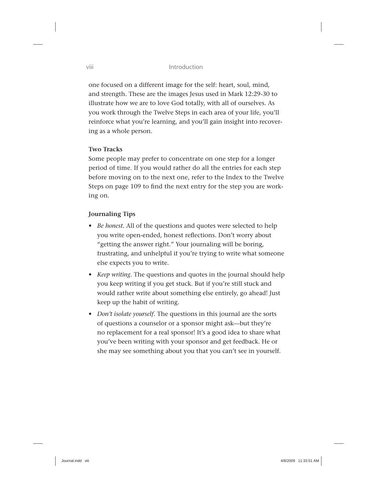one focused on a different image for the self: heart, soul, mind, and strength. These are the images Jesus used in Mark 12:29-30 to illustrate how we are to love God totally, with all of ourselves. As you work through the Twelve Steps in each area of your life, you'll reinforce what you're learning, and you'll gain insight into recovering as a whole person.

#### **Two Tracks**

Some people may prefer to concentrate on one step for a longer period of time. If you would rather do all the entries for each step before moving on to the next one, refer to the Index to the Twelve Steps on page 109 to find the next entry for the step you are working on.

#### **Journaling Tips**

- *Be honest.* All of the questions and quotes were selected to help you write open-ended, honest reflections. Don't worry about "getting the answer right." Your journaling will be boring, frustrating, and unhelpful if you're trying to write what someone else expects you to write.
- *Keep writing.* The questions and quotes in the journal should help you keep writing if you get stuck. But if you're still stuck and would rather write about something else entirely, go ahead! Just keep up the habit of writing.
- *Don't isolate yourself.* The questions in this journal are the sorts of questions a counselor or a sponsor might ask—but they're no replacement for a real sponsor! It's a good idea to share what you've been writing with your sponsor and get feedback. He or she may see something about you that you can't see in yourself.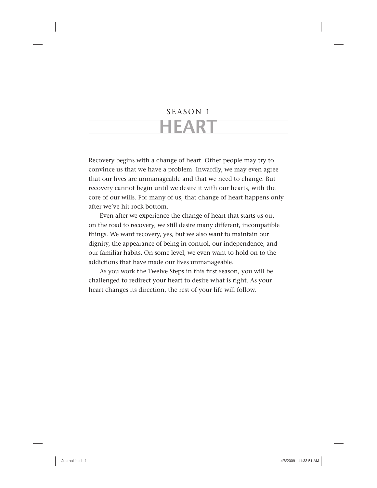## SEASON 1 **HEART**

Recovery begins with a change of heart. Other people may try to convince us that we have a problem. Inwardly, we may even agree that our lives are unmanageable and that we need to change. But recovery cannot begin until we desire it with our hearts, with the core of our wills. For many of us, that change of heart happens only after we've hit rock bottom.

Even after we experience the change of heart that starts us out on the road to recovery, we still desire many different, incompatible things. We want recovery, yes, but we also want to maintain our dignity, the appearance of being in control, our independence, and our familiar habits. On some level, we even want to hold on to the addictions that have made our lives unmanageable.

As you work the Twelve Steps in this first season, you will be challenged to redirect your heart to desire what is right. As your heart changes its direction, the rest of your life will follow.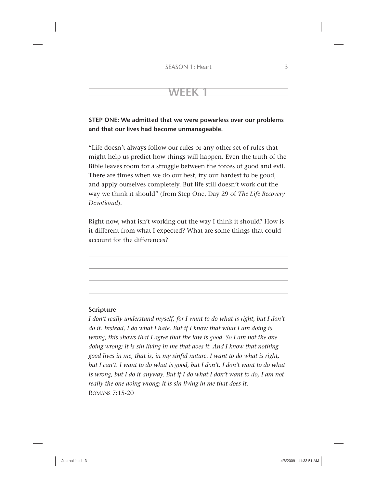#### **STEP ONE: We admitted that we were powerless over our problems and that our lives had become unmanageable.**

"Life doesn't always follow our rules or any other set of rules that might help us predict how things will happen. Even the truth of the Bible leaves room for a struggle between the forces of good and evil. There are times when we do our best, try our hardest to be good, and apply ourselves completely. But life still doesn't work out the way we think it should" (from Step One, Day 29 of *The Life Recovery Devotional*).

Right now, what isn't working out the way I think it should? How is it different from what I expected? What are some things that could account for the differences?

#### **Scripture**

*I don't really understand myself, for I want to do what is right, but I don't do it. Instead, I do what I hate. But if I know that what I am doing is wrong, this shows that I agree that the law is good. So I am not the one doing wrong; it is sin living in me that does it. And I know that nothing good lives in me, that is, in my sinful nature. I want to do what is right, but I can't. I want to do what is good, but I don't. I don't want to do what is wrong, but I do it anyway. But if I do what I don't want to do, I am not really the one doing wrong; it is sin living in me that does it.* ROMANS 7:15-20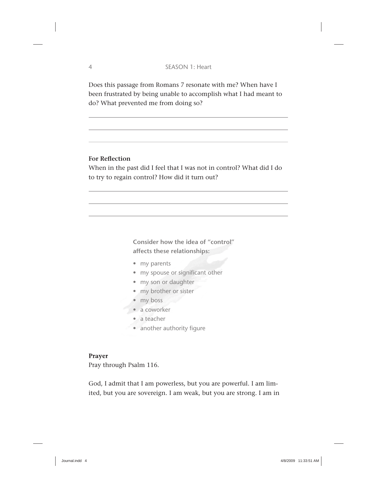Does this passage from Romans 7 resonate with me? When have I been frustrated by being unable to accomplish what I had meant to do? What prevented me from doing so?

#### **For Reflection**

When in the past did I feel that I was not in control? What did I do to try to regain control? How did it turn out?

> **Consider how the idea of "control" affects these relationships:**

- my parents
- my spouse or significant other
- my son or daughter
- my brother or sister
- my boss
- a coworker
	- a teacher
	- another authority figure

Prayer Pray through Psalm 116.

God, I admit that I am powerless, but you are powerful. I am limited, but you are sovereign. I am weak, but you are strong. I am in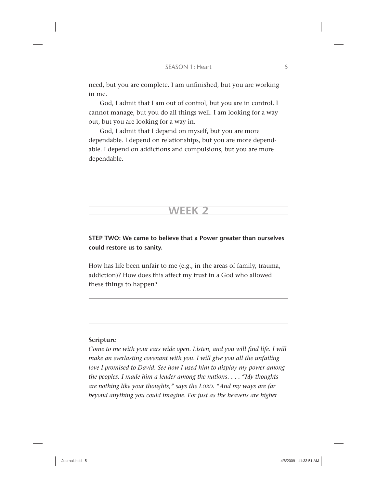need, but you are complete. I am unfinished, but you are working in me.

God, I admit that I am out of control, but you are in control. I cannot manage, but you do all things well. I am looking for a way out, but you are looking for a way in.

God, I admit that I depend on myself, but you are more dependable. I depend on relationships, but you are more dependable. I depend on addictions and compulsions, but you are more dependable.

**STEP TWO: We came to believe that a Power greater than ourselves could restore us to sanity.**

**WEEK 2**

How has life been unfair to me (e.g., in the areas of family, trauma, addiction)? How does this affect my trust in a God who allowed these things to happen?

#### **Scripture**

*Come to me with your ears wide open. Listen, and you will find life. I will make an everlasting covenant with you. I will give you all the unfailing love I promised to David. See how I used him to display my power among the peoples. I made him a leader among the nations. . . . "My thoughts are nothing like your thoughts," says the LORD. "And my ways are far beyond anything you could imagine. For just as the heavens are higher*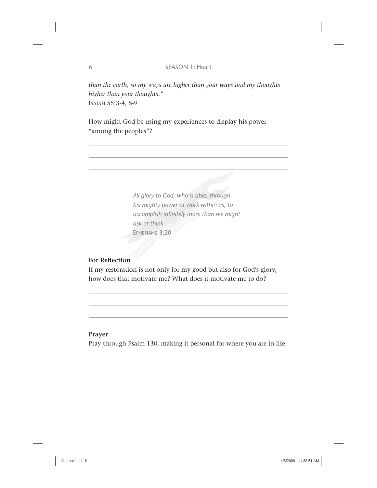*than the earth, so my ways are higher than your ways and my thoughts higher than your thoughts."* ISAIAH 55:3-4, 8-9

How might God be using my experiences to display his power "among the peoples"?

> *All glory to God, who is able, through his mighty power at work within us, to accomplish infi nitely more than we might ask or think.* EPHESIANS 3:20

#### **For Reflection**

If my restoration is not only for my good but also for God's glory, how does that motivate me? What does it motivate me to do?

#### **Prayer**

Pray through Psalm 130, making it personal for where you are in life.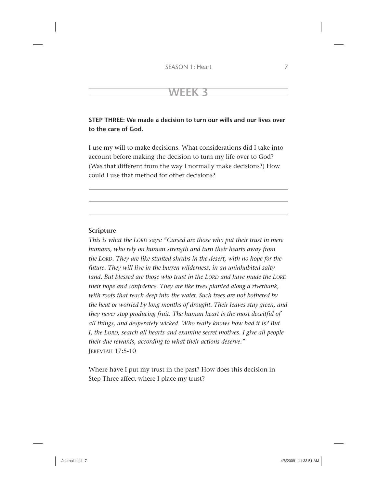#### **STEP THREE: We made a decision to turn our wills and our lives over to the care of God.**

I use my will to make decisions. What considerations did I take into account before making the decision to turn my life over to God? (Was that different from the way I normally make decisions?) How could I use that method for other decisions?

#### **Scripture**

*This is what the LORD says: "Cursed are those who put their trust in mere humans, who rely on human strength and turn their hearts away from the LORD. They are like stunted shrubs in the desert, with no hope for the future. They will live in the barren wilderness, in an uninhabited salty land. But blessed are those who trust in the LORD and have made the LORD their hope and confi dence. They are like trees planted along a riverbank, with roots that reach deep into the water. Such trees are not bothered by the heat or worried by long months of drought. Their leaves stay green, and they never stop producing fruit. The human heart is the most deceitful of all things, and desperately wicked. Who really knows how bad it is? But I, the LORD, search all hearts and examine secret motives. I give all people their due rewards, according to what their actions deserve."* JEREMIAH 17:5-10

Where have I put my trust in the past? How does this decision in Step Three affect where I place my trust?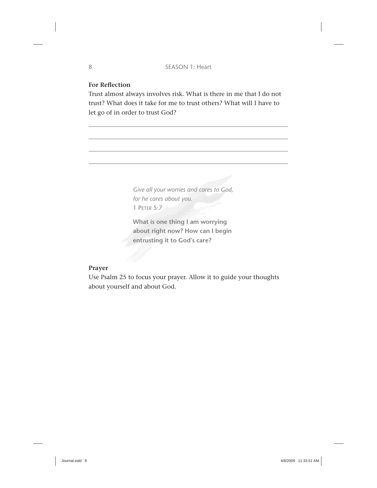#### **For Reflection**

Trust almost always involves risk. What is there in me that I do not trust? What does it take for me to trust others? What will I have to let go of in order to trust God?

> *Give all your worries and cares to God, for he cares about you.* 1 PETER 5:7

**What is one thing I am worrying about right now? How can I begin entrusting it to God's care?**

#### **Prayer**

Use Psalm 25 to focus your prayer. Allow it to guide your thoughts about yourself and about God.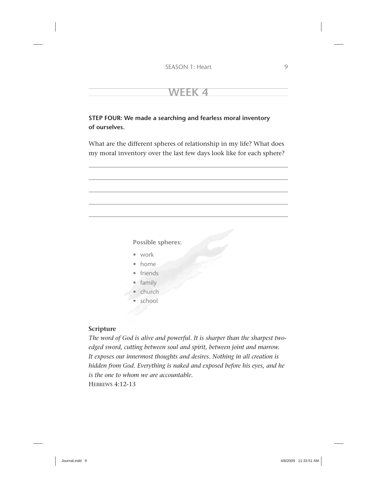**STEP FOUR: We made a searching and fearless moral inventory of ourselves.**

What are the different spheres of relationship in my life? What does my moral inventory over the last few days look like for each sphere?



- friends
- family
- church
- school

#### **Scripture**

*The word of God is alive and powerful. It is sharper than the sharpest twoedged sword, cutting between soul and spirit, between joint and marrow. It exposes our innermost thoughts and desires. Nothing in all creation is hidden from God. Everything is naked and exposed before his eyes, and he is the one to whom we are accountable.* HEBREWS 4:12-13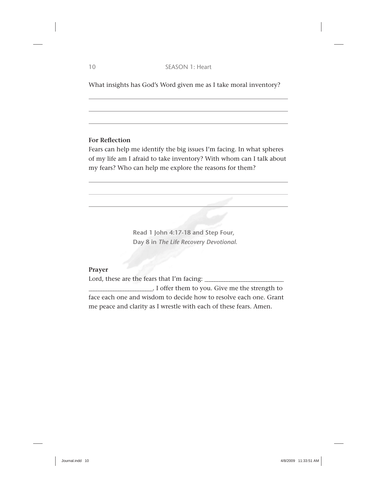What insights has God's Word given me as I take moral inventory?

#### **For Reflection**

Fears can help me identify the big issues I'm facing. In what spheres of my life am I afraid to take inventory? With whom can I talk about my fears? Who can help me explore the reasons for them?

> **Read 1 John 4:17-18 and Step Four, Day 8 in** *The Life Recovery Devotional***.**

#### **Prayer**

Lord, these are the fears that I'm facing: \_\_\_\_\_\_\_\_\_\_\_\_\_ \_\_\_\_\_\_\_\_\_\_\_\_\_\_\_\_\_\_\_\_\_\_\_\_\_\_\_\_\_\_\_\_ \_

I offer them to you. Give me the strength to face each one and wisdom to decide how to resolve each one. Grant me peace and clarity as I wrestle with each of these fears. Amen.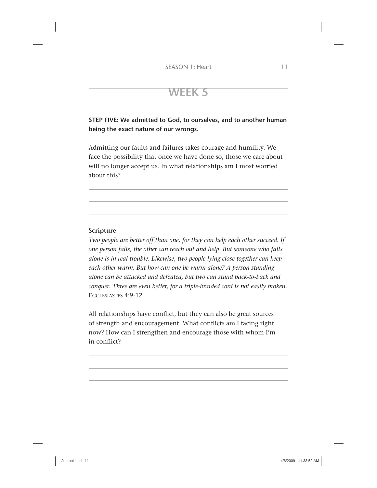#### **STEP FIVE: We admitted to God, to ourselves, and to another human being the exact nature of our wrongs.**

Admitting our faults and failures takes courage and humility. We face the possibility that once we have done so, those we care about will no longer accept us. In what relationships am I most worried about this?

#### **Scripture**

*Two people are better off than one, for they can help each other succeed. If one person falls, the other can reach out and help. But someone who falls alone is in real trouble. Likewise, two people lying close together can keep each other warm. But how can one be warm alone? A person standing alone can be attacked and defeated, but two can stand back-to-back and conquer. Three are even better, for a triple-braided cord is not easily broken.* ECCLESIASTES 4:9-12

All relationships have conflict, but they can also be great sources of strength and encouragement. What conflicts am I facing right now? How can I strengthen and encourage those with whom I'm in conflict?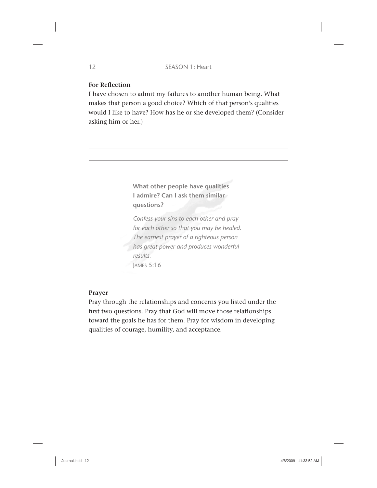#### **For Reflection**

I have chosen to admit my failures to another human being. What makes that person a good choice? Which of that person's qualities would I like to have? How has he or she developed them? (Consider asking him or her.)

> **What other people have qualities I admire? Can I ask them similar questions?**

*Confess your sins to each other and pray for each other so that you may be healed. The earnest prayer of a righteous person has great power and produces wonderful results.* JAMES 5:16

#### **Prayer**

Pray through the relationships and concerns you listed under the first two questions. Pray that God will move those relationships toward the goals he has for them. Pray for wisdom in developing qualities of courage, humility, and acceptance.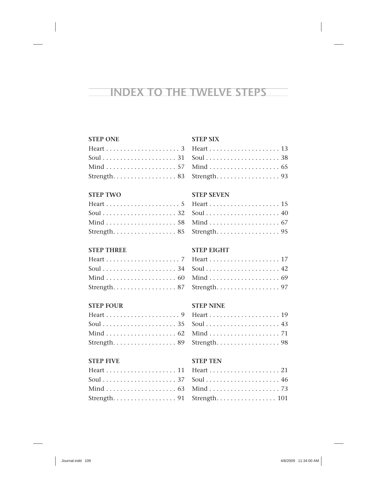## **INDEX TO THE TWELVE STEPS**

#### **STEP ONE**

| Strength. 83 |  |  |  |  |  |  |  |  |  |
|--------------|--|--|--|--|--|--|--|--|--|

#### **STEP TWO**

| Strength. 85 |  |  |  |  |  |  |  |  |  |  |
|--------------|--|--|--|--|--|--|--|--|--|--|

#### **STEP THREE**

| Strength. 87 |  |  |  |  |  |  |  |  |  |
|--------------|--|--|--|--|--|--|--|--|--|

#### **STEP FOUR**

| Strength. 89 |  |  |  |  |  |  |  |  |  |
|--------------|--|--|--|--|--|--|--|--|--|

#### **STEP FIVE**

| Strength. 91 |  |  |  |  |  |  |  |  |  |
|--------------|--|--|--|--|--|--|--|--|--|

#### **STEP SIX**

| Strength. $\ldots \ldots \ldots \ldots \ldots$ . 93 |  |  |  |  |  |  |  |  |  |  |
|-----------------------------------------------------|--|--|--|--|--|--|--|--|--|--|

#### **STEP SEVEN**

| Strength. $\ldots \ldots \ldots \ldots \ldots$ . 95 |  |  |  |  |  |  |  |  |  |
|-----------------------------------------------------|--|--|--|--|--|--|--|--|--|

#### **STEP EIGHT**

| Strength. $\ldots \ldots \ldots \ldots \ldots$ . 97 |  |  |  |  |  |  |  |  |  |  |
|-----------------------------------------------------|--|--|--|--|--|--|--|--|--|--|

#### **STEP NINE**

| Strength. $\ldots \ldots \ldots \ldots \ldots$ . 98 |  |  |  |  |  |  |  |  |  |  |
|-----------------------------------------------------|--|--|--|--|--|--|--|--|--|--|

#### **STEP TEN**

| Strength. $\ldots \ldots \ldots \ldots \ldots 101$ |  |  |  |  |  |  |  |  |  |
|----------------------------------------------------|--|--|--|--|--|--|--|--|--|